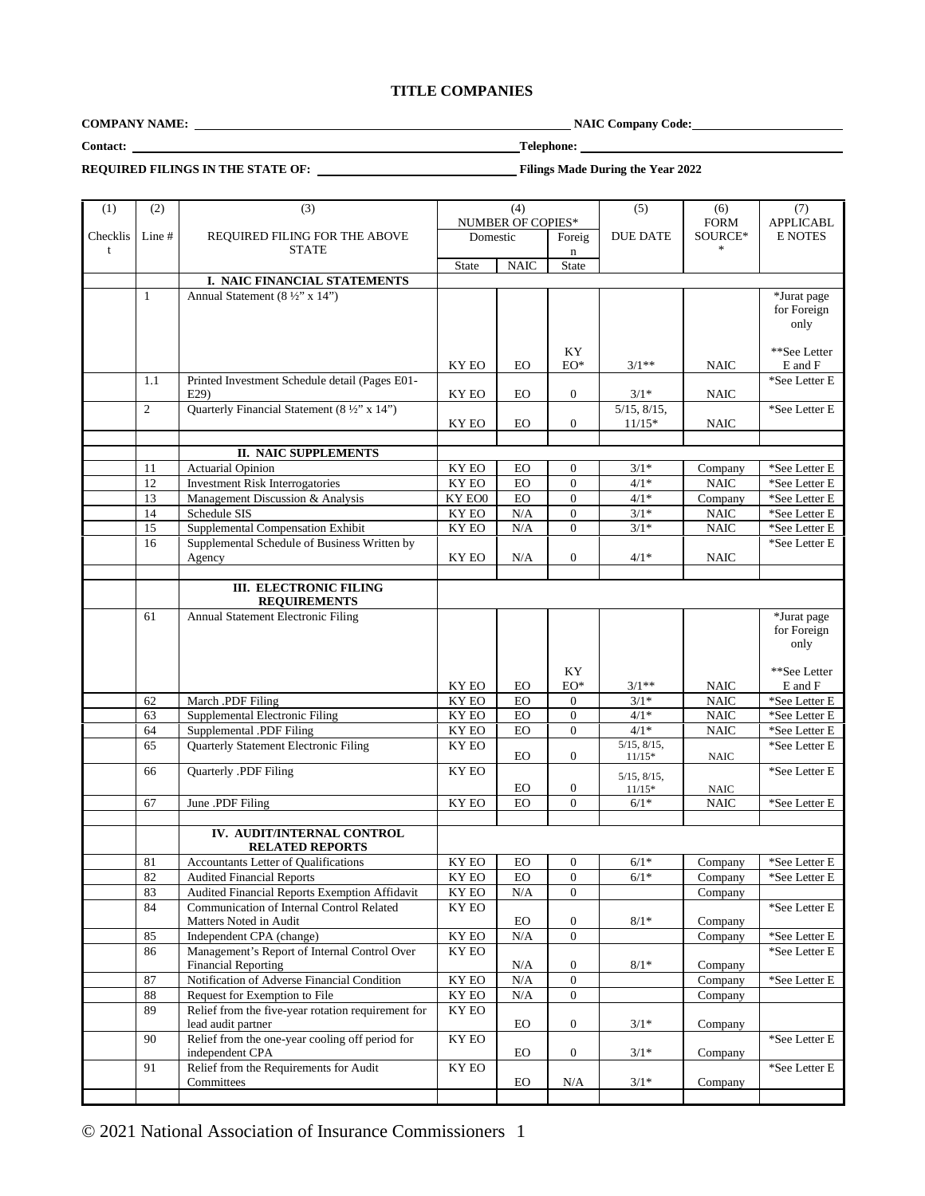# **TITLE COMPANIES**

**COMPANY NAME:** NAIC Company Code:

**Contact: Telephone:**

**REQUIRED FILINGS IN THE STATE OF: Filings Made During the Year 2022**

| (1)      |                |                                                    |                           |             |                  |                                         |             |                          |
|----------|----------------|----------------------------------------------------|---------------------------|-------------|------------------|-----------------------------------------|-------------|--------------------------|
|          | (2)            | (3)                                                | (4)                       |             | (5)              | (6)                                     | (7)         |                          |
|          |                |                                                    | NUMBER OF COPIES*         |             |                  | <b>FORM</b>                             |             | <b>APPLICABL</b>         |
| Checklis | Line #         | REQUIRED FILING FOR THE ABOVE                      | Domestic                  |             | Foreig           | <b>DUE DATE</b>                         | SOURCE*     | <b>E NOTES</b>           |
| t        |                | <b>STATE</b>                                       |                           |             | $\mathbf n$      |                                         | $\ast$      |                          |
|          |                |                                                    | <b>State</b>              | <b>NAIC</b> | <b>State</b>     |                                         |             |                          |
|          |                | I. NAIC FINANCIAL STATEMENTS                       |                           |             |                  |                                         |             |                          |
|          |                |                                                    |                           |             |                  |                                         |             |                          |
|          | $\mathbf{1}$   | Annual Statement (8 ½" x 14")                      |                           |             |                  |                                         |             | *Jurat page              |
|          |                |                                                    |                           |             |                  |                                         |             | for Foreign              |
|          |                |                                                    |                           |             |                  |                                         |             | only                     |
|          |                |                                                    |                           |             |                  |                                         |             |                          |
|          |                |                                                    |                           |             | KY               |                                         |             | **See Letter             |
|          |                |                                                    | KY EO                     | EO          | $EO^*$           | $3/1**$                                 | <b>NAIC</b> | E and F                  |
|          | 1.1            | Printed Investment Schedule detail (Pages E01-     |                           |             |                  |                                         |             | *See Letter E            |
|          |                |                                                    | KY EO                     | EO          | $\mathbf{0}$     | $3/1*$                                  | <b>NAIC</b> |                          |
|          |                | E29                                                |                           |             |                  |                                         |             |                          |
|          | $\overline{2}$ | Quarterly Financial Statement (8 ½" x 14")         |                           |             |                  | $5/15$ , $8/15$ ,                       |             | *See Letter E            |
|          |                |                                                    | KY EO                     | EO          | $\mathbf{0}$     | $11/15*$                                | <b>NAIC</b> |                          |
|          |                |                                                    |                           |             |                  |                                         |             |                          |
|          |                | II. NAIC SUPPLEMENTS                               |                           |             |                  |                                         |             |                          |
|          | 11             | <b>Actuarial Opinion</b>                           | KY EO                     | EO          | $\overline{0}$   | $3/1*$                                  | Company     | *See Letter E            |
|          |                |                                                    |                           |             |                  |                                         |             |                          |
|          | 12             | <b>Investment Risk Interrogatories</b>             | KY EO                     | EO          | $\overline{0}$   | $4/1*$                                  | <b>NAIC</b> | *See Letter E            |
|          | 13             | Management Discussion & Analysis                   | KY EO0                    | EO          | $\overline{0}$   | $4/1*$                                  | Company     | *See Letter E            |
|          | 14             | Schedule SIS                                       | KY EO                     | N/A         | $\overline{0}$   | $3/1*$                                  | <b>NAIC</b> | $^*\!{\rm See}$ Letter E |
|          | 15             | Supplemental Compensation Exhibit                  | KY EO                     | N/A         | $\Omega$         | $3/1*$                                  | <b>NAIC</b> | $^*\!{\rm See}$ Letter E |
|          | 16             | Supplemental Schedule of Business Written by       |                           |             |                  |                                         |             | *See Letter E            |
|          |                |                                                    |                           |             |                  |                                         |             |                          |
|          |                | Agency                                             | KY EO                     | N/A         | $\mathbf{0}$     | $4/1*$                                  | <b>NAIC</b> |                          |
|          |                |                                                    |                           |             |                  |                                         |             |                          |
|          |                | <b>III. ELECTRONIC FILING</b>                      |                           |             |                  |                                         |             |                          |
|          |                | <b>REQUIREMENTS</b>                                |                           |             |                  |                                         |             |                          |
|          | 61             | Annual Statement Electronic Filing                 |                           |             |                  |                                         |             | *Jurat page              |
|          |                |                                                    |                           |             |                  |                                         |             |                          |
|          |                |                                                    |                           |             |                  |                                         |             | for Foreign              |
|          |                |                                                    |                           |             |                  |                                         |             | only                     |
|          |                |                                                    |                           |             |                  |                                         |             |                          |
|          |                |                                                    |                           |             | KY               |                                         |             | **See Letter             |
|          |                |                                                    | KY EO                     | EO          | EO*              | $3/1**$                                 | <b>NAIC</b> | E and F                  |
|          | 62             | March .PDF Filing                                  | KY EO                     | EO          | $\overline{0}$   | $3/1*$                                  | <b>NAIC</b> | *See Letter E            |
|          | 63             | Supplemental Electronic Filing                     | KY EO                     | ${\rm EO}$  | $\overline{0}$   | $4/1*$                                  | $\rm NAIC$  | *See Letter E            |
|          |                |                                                    |                           |             |                  | $4/1*$                                  |             |                          |
|          | 64             | Supplemental .PDF Filing                           | KY EO                     |             |                  |                                         |             |                          |
|          | 65             |                                                    |                           | EO          | $\overline{0}$   |                                         | <b>NAIC</b> | *See Letter E            |
|          |                | Quarterly Statement Electronic Filing              | KY EO                     |             |                  | $\overline{5/15}$ , $\overline{8/15}$ , |             | *See Letter E            |
|          |                |                                                    |                           | <b>EO</b>   | $\overline{0}$   | $11/15*$                                | <b>NAIC</b> |                          |
|          | 66             | Quarterly .PDF Filing                              | KY EO                     |             |                  |                                         |             | *See Letter E            |
|          |                |                                                    |                           |             |                  | $5/15$ , $8/15$ ,                       |             |                          |
|          |                |                                                    |                           | EO          | $\boldsymbol{0}$ | $11/15*$                                | <b>NAIC</b> |                          |
|          | 67             | June .PDF Filing                                   | KY EO                     | EO          | $\overline{0}$   | $6/1*$                                  | <b>NAIC</b> | *See Letter E            |
|          |                |                                                    |                           |             |                  |                                         |             |                          |
|          |                | IV. AUDIT/INTERNAL CONTROL                         |                           |             |                  |                                         |             |                          |
|          |                | <b>RELATED REPORTS</b>                             |                           |             |                  |                                         |             |                          |
|          |                |                                                    |                           |             | $\mathbf{0}$     |                                         |             |                          |
|          | 81             | Accountants Letter of Qualifications               | KY EO                     | EO          |                  | $6/1*$                                  | Company     | *See Letter E            |
|          | 82             | Audited Financial Reports                          | KY EO                     | EO.         | $\theta$         | $6/1*$                                  | Company     | *See Letter E            |
|          | 83             | Audited Financial Reports Exemption Affidavit      | KY EO                     | N/A         | $\Omega$         |                                         | Company     |                          |
|          | 84             | Communication of Internal Control Related          | KY EO                     |             |                  |                                         |             | *See Letter E            |
|          |                | Matters Noted in Audit                             |                           | EO          | $\boldsymbol{0}$ | $8/1*$                                  | Company     |                          |
|          | 85             |                                                    |                           |             | $\overline{0}$   |                                         |             |                          |
|          |                | Independent CPA (change)                           | $\mathbf{K}\mathbf{Y}$ EO | $\rm N/A$   |                  |                                         | Company     | $^*\!$ See Letter E      |
|          | 86             | Management's Report of Internal Control Over       | KY EO                     |             |                  |                                         |             | *See Letter E            |
|          |                | <b>Financial Reporting</b>                         |                           | N/A         | $\boldsymbol{0}$ | $8/1*$                                  | Company     |                          |
|          | 87             | Notification of Adverse Financial Condition        | $\overline{\rm KY}$ EO    | $\rm N/A$   | $\boldsymbol{0}$ |                                         | Company     | *See Letter E            |
|          | 88             | Request for Exemption to File                      | $\mathbf{K}\mathbf{Y}$ EO | N/A         | $\overline{0}$   |                                         | Company     |                          |
|          | 89             |                                                    | KY EO                     |             |                  |                                         |             |                          |
|          |                | Relief from the five-year rotation requirement for |                           |             |                  |                                         |             |                          |
|          |                | lead audit partner                                 |                           | ${\rm EO}$  | $\mathbf{0}$     | $3/1*$                                  | Company     |                          |
|          | 90             | Relief from the one-year cooling off period for    | KY EO                     |             |                  |                                         |             | *See Letter E            |
|          |                | independent CPA                                    |                           | EO          | $\mathbf{0}$     | $3/1*$                                  | Company     |                          |
|          | 91             | Relief from the Requirements for Audit             | KY EO                     |             |                  |                                         |             | *See Letter E            |
|          |                | Committees                                         |                           | EO          | $\rm N/A$        | $3/1*$                                  | Company     |                          |

© 2021 National Association of Insurance Commissioners 1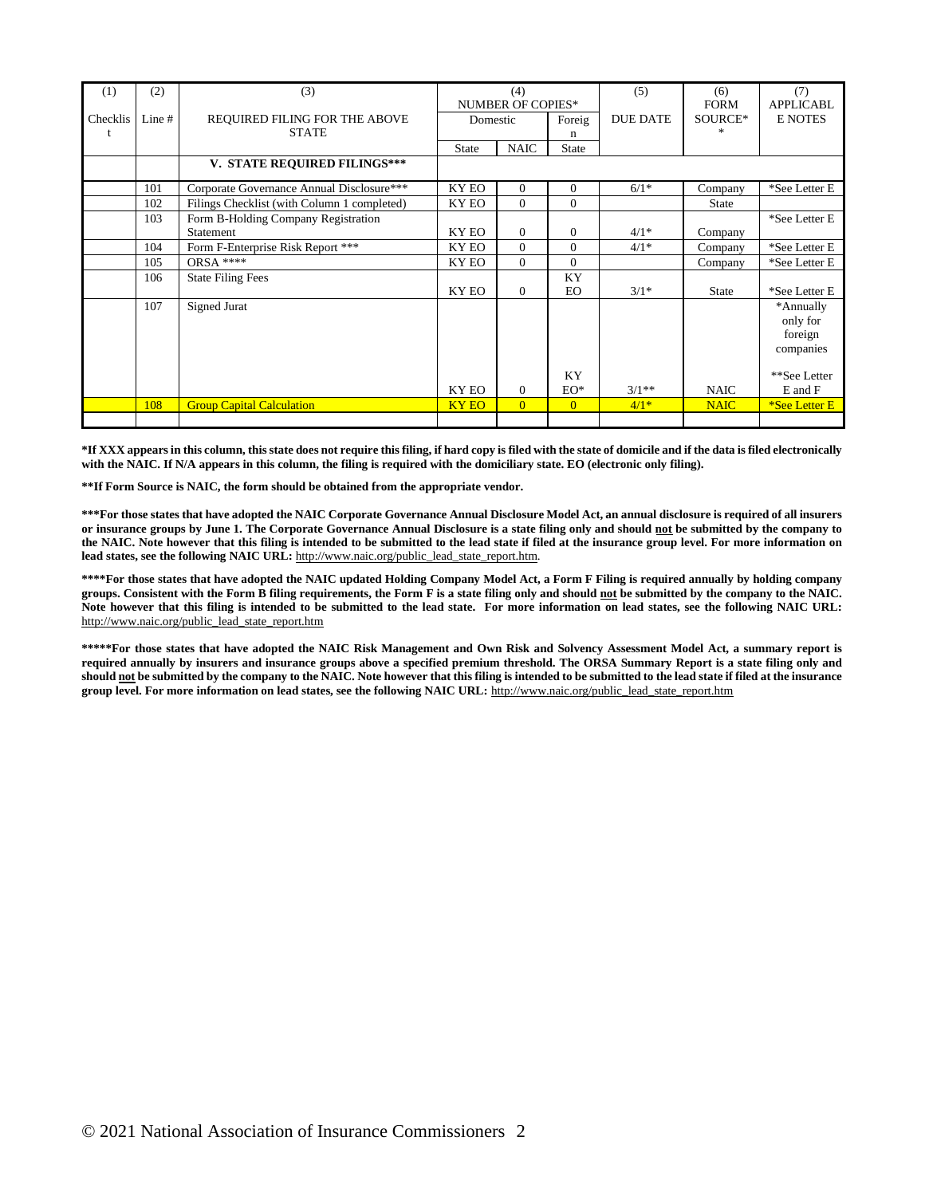| (1)      | (2)      | (3)                                         | (4)<br><b>NUMBER OF COPIES*</b> |                | (5)            | (6)<br><b>FORM</b> | (7)<br><b>APPLICABL</b> |                                               |
|----------|----------|---------------------------------------------|---------------------------------|----------------|----------------|--------------------|-------------------------|-----------------------------------------------|
| Checklis | Line $#$ | REQUIRED FILING FOR THE ABOVE               | Domestic<br>Foreig              |                |                | <b>DUE DATE</b>    | SOURCE*                 | <b>E NOTES</b>                                |
| t        |          | <b>STATE</b>                                |                                 |                | n              |                    |                         |                                               |
|          |          |                                             | <b>State</b>                    | <b>NAIC</b>    | <b>State</b>   |                    |                         |                                               |
|          |          | V. STATE REQUIRED FILINGS***                |                                 |                |                |                    |                         |                                               |
|          | 101      | Corporate Governance Annual Disclosure***   | KY EO                           | $\Omega$       | $\Omega$       | $6/1*$             | Company                 | *See Letter E                                 |
|          | 102      | Filings Checklist (with Column 1 completed) | KY EO                           | $\Omega$       | $\Omega$       |                    | <b>State</b>            |                                               |
|          | 103      | Form B-Holding Company Registration         |                                 |                |                |                    |                         | *See Letter E                                 |
|          |          | Statement                                   | KY EO                           | $\mathbf{0}$   | $\overline{0}$ | $4/1*$             | Company                 |                                               |
|          | 104      | Form F-Enterprise Risk Report ***           | KY EO                           | $\Omega$       | $\Omega$       | $4/1*$             | Company                 | *See Letter E                                 |
|          | 105      | ORSA ****                                   | KY EO                           | $\mathbf{0}$   | $\Omega$       |                    | Company                 | *See Letter E                                 |
|          | 106      | <b>State Filing Fees</b>                    |                                 |                | KY             |                    |                         |                                               |
|          |          |                                             | KY EO                           | $\mathbf{0}$   | EO.            | $3/1*$             | <b>State</b>            | *See Letter E                                 |
|          | 107      | Signed Jurat                                |                                 |                |                |                    |                         | *Annually<br>only for<br>foreign<br>companies |
|          |          |                                             | KY EO                           | $\Omega$       | KY<br>$EO^*$   | $3/1**$            | <b>NAIC</b>             | **See Letter<br>$E$ and $F$                   |
|          | 108      | <b>Group Capital Calculation</b>            | <b>KY EO</b>                    | $\overline{0}$ | $\overline{0}$ | $4/1*$             | <b>NAIC</b>             | *See Letter E                                 |
|          |          |                                             |                                 |                |                |                    |                         |                                               |

**\*If XXX appears in this column, this state does not require this filing, if hard copy is filed with the state of domicile and if the data is filed electronically with the NAIC. If N/A appears in this column, the filing is required with the domiciliary state. EO (electronic only filing).**

**\*\*If Form Source is NAIC, the form should be obtained from the appropriate vendor.**

**\*\*\*For those states that have adopted the NAIC Corporate Governance Annual Disclosure Model Act, an annual disclosure is required of all insurers or insurance groups by June 1. The Corporate Governance Annual Disclosure is a state filing only and should not be submitted by the company to the NAIC. Note however that this filing is intended to be submitted to the lead state if filed at the insurance group level. For more information on** lead states, see the following NAIC URL: http://www.naic.org/public\_lead\_state\_report.htm.

**\*\*\*\*For those states that have adopted the NAIC updated Holding Company Model Act, a Form F Filing is required annually by holding company groups. Consistent with the Form B filing requirements, the Form F is a state filing only and should not be submitted by the company to the NAIC. Note however that this filing is intended to be submitted to the lead state. For more information on lead states, see the following NAIC URL:** http://www.naic.org/public\_lead\_state\_report.htm

**\*\*\*\*\*For those states that have adopted the NAIC Risk Management and Own Risk and Solvency Assessment Model Act, a summary report is required annually by insurers and insurance groups above a specified premium threshold. The ORSA Summary Report is a state filing only and should not be submitted by the company to the NAIC. Note however that this filing is intended to be submitted to the lead state if filed at the insurance group level. For more information on lead states, see the following NAIC URL:** http://www.naic.org/public\_lead\_state\_report.htm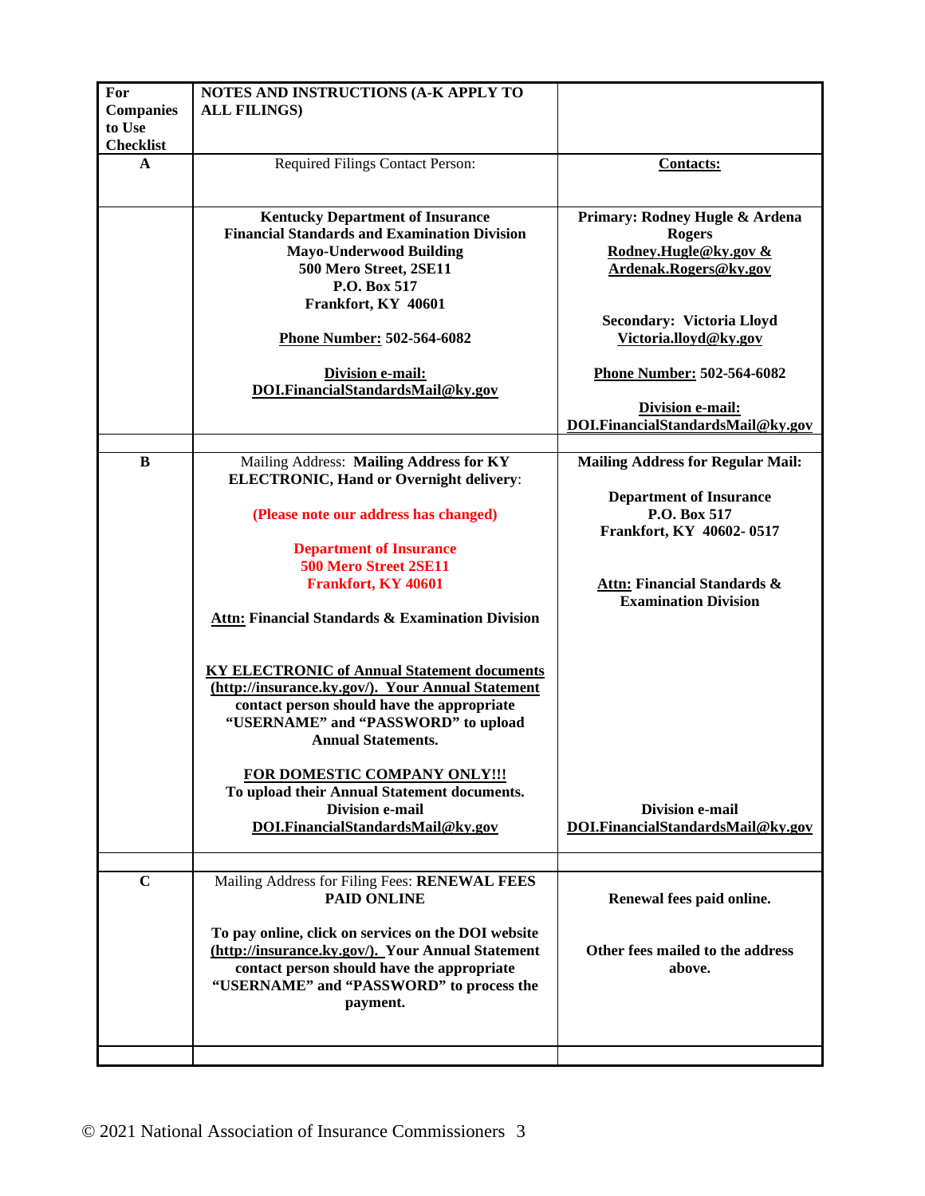| For<br><b>Companies</b><br>to Use | NOTES AND INSTRUCTIONS (A-K APPLY TO<br><b>ALL FILINGS)</b>                                                                                                                                                               |                                                                                                   |
|-----------------------------------|---------------------------------------------------------------------------------------------------------------------------------------------------------------------------------------------------------------------------|---------------------------------------------------------------------------------------------------|
| <b>Checklist</b>                  |                                                                                                                                                                                                                           |                                                                                                   |
| A                                 | Required Filings Contact Person:                                                                                                                                                                                          | <b>Contacts:</b>                                                                                  |
|                                   | <b>Kentucky Department of Insurance</b><br><b>Financial Standards and Examination Division</b><br><b>Mayo-Underwood Building</b><br>500 Mero Street, 2SE11<br>P.O. Box 517<br>Frankfort, KY 40601                         | Primary: Rodney Hugle & Ardena<br><b>Rogers</b><br>Rodney.Hugle@ky.gov &<br>Ardenak.Rogers@ky.gov |
|                                   | Phone Number: 502-564-6082                                                                                                                                                                                                | <b>Secondary: Victoria Lloyd</b><br>Victoria.lloyd@ky.gov                                         |
|                                   | <b>Division e-mail:</b><br>DOI.FinancialStandardsMail@ky.gov                                                                                                                                                              | Phone Number: 502-564-6082                                                                        |
|                                   |                                                                                                                                                                                                                           | Division e-mail:<br>DOI.FinancialStandardsMail@ky.gov                                             |
| B                                 | Mailing Address: Mailing Address for KY                                                                                                                                                                                   | <b>Mailing Address for Regular Mail:</b>                                                          |
|                                   | <b>ELECTRONIC, Hand or Overnight delivery:</b>                                                                                                                                                                            |                                                                                                   |
|                                   | (Please note our address has changed)                                                                                                                                                                                     | <b>Department of Insurance</b><br>P.O. Box 517                                                    |
|                                   | <b>Department of Insurance</b>                                                                                                                                                                                            | Frankfort, KY 40602-0517                                                                          |
|                                   | 500 Mero Street 2SE11                                                                                                                                                                                                     |                                                                                                   |
|                                   | Frankfort, KY 40601                                                                                                                                                                                                       | Attn: Financial Standards &                                                                       |
|                                   | <b>Attn: Financial Standards &amp; Examination Division</b>                                                                                                                                                               | <b>Examination Division</b>                                                                       |
|                                   | <b>KY ELECTRONIC of Annual Statement documents</b><br>(http://insurance.ky.gov/). Your Annual Statement<br>contact person should have the appropriate<br>"USERNAME" and "PASSWORD" to upload<br><b>Annual Statements.</b> |                                                                                                   |
|                                   | FOR DOMESTIC COMPANY ONLY !!!<br>To upload their Annual Statement documents.<br><b>Division e-mail</b><br>DOI.FinancialStandardsMail@ky.gov                                                                               | <b>Division e-mail</b><br>DOI.FinancialStandardsMail@ky.gov                                       |
|                                   |                                                                                                                                                                                                                           |                                                                                                   |
| $\mathbf C$                       | Mailing Address for Filing Fees: RENEWAL FEES<br><b>PAID ONLINE</b>                                                                                                                                                       | Renewal fees paid online.                                                                         |
|                                   | To pay online, click on services on the DOI website<br>(http://insurance.ky.gov/). Your Annual Statement<br>contact person should have the appropriate<br>"USERNAME" and "PASSWORD" to process the<br>payment.            | Other fees mailed to the address<br>above.                                                        |
|                                   |                                                                                                                                                                                                                           |                                                                                                   |
|                                   |                                                                                                                                                                                                                           |                                                                                                   |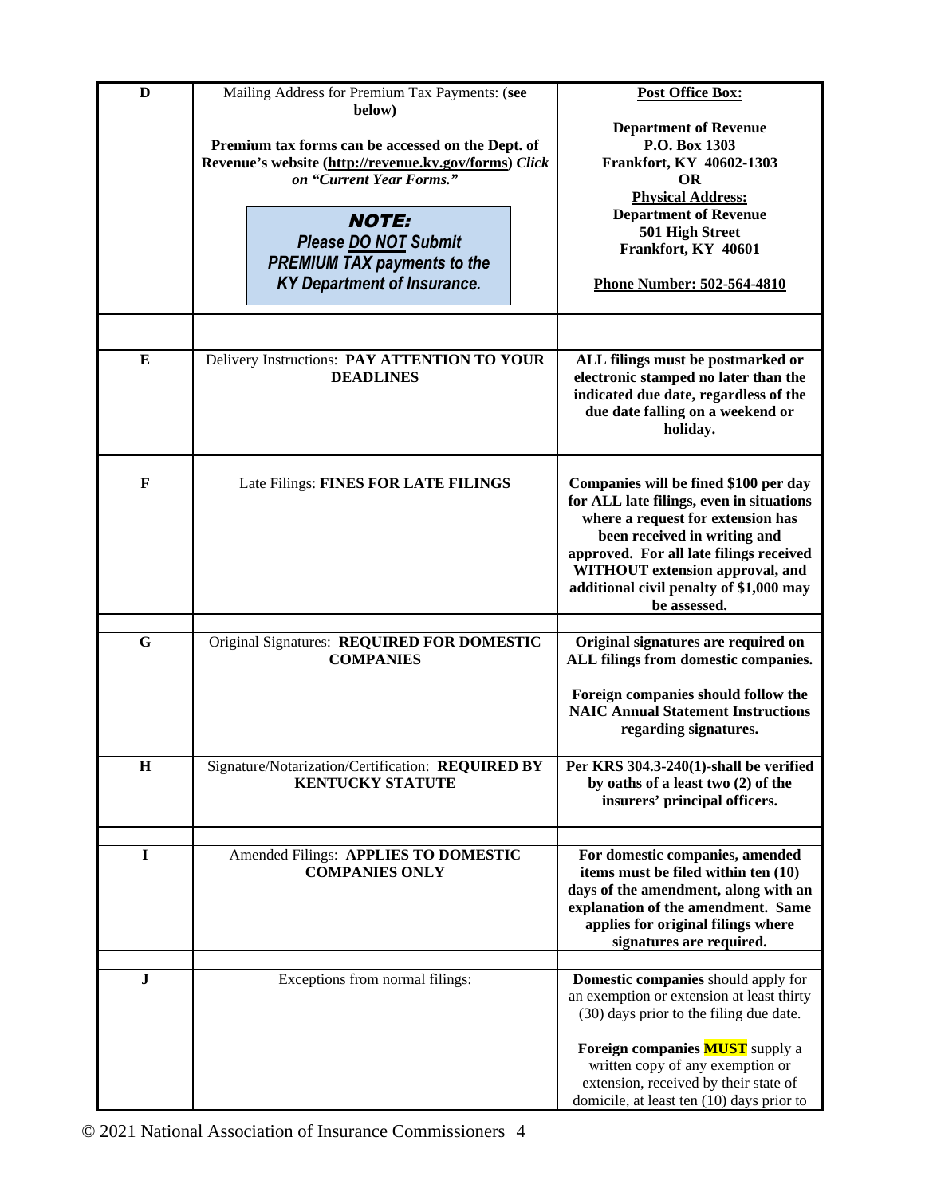| D           | Mailing Address for Premium Tax Payments: (see                                    | <b>Post Office Box:</b>                                                              |
|-------------|-----------------------------------------------------------------------------------|--------------------------------------------------------------------------------------|
|             | below)                                                                            | <b>Department of Revenue</b>                                                         |
|             | Premium tax forms can be accessed on the Dept. of                                 | P.O. Box 1303                                                                        |
|             | Revenue's website (http://revenue.ky.gov/forms) Click<br>on "Current Year Forms." | Frankfort, KY 40602-1303<br><b>OR</b>                                                |
|             |                                                                                   | <b>Physical Address:</b>                                                             |
|             | <b>NOTE:</b>                                                                      | <b>Department of Revenue</b>                                                         |
|             | Please DO NOT Submit                                                              | 501 High Street                                                                      |
|             | <b>PREMIUM TAX payments to the</b>                                                | Frankfort, KY 40601                                                                  |
|             | <b>KY Department of Insurance.</b>                                                | Phone Number: 502-564-4810                                                           |
|             |                                                                                   |                                                                                      |
|             |                                                                                   |                                                                                      |
| E           | Delivery Instructions: PAY ATTENTION TO YOUR                                      | ALL filings must be postmarked or                                                    |
|             | <b>DEADLINES</b>                                                                  | electronic stamped no later than the                                                 |
|             |                                                                                   | indicated due date, regardless of the                                                |
|             |                                                                                   | due date falling on a weekend or<br>holiday.                                         |
|             |                                                                                   |                                                                                      |
|             |                                                                                   |                                                                                      |
| $\mathbf F$ | Late Filings: FINES FOR LATE FILINGS                                              | Companies will be fined \$100 per day<br>for ALL late filings, even in situations    |
|             |                                                                                   | where a request for extension has                                                    |
|             |                                                                                   | been received in writing and                                                         |
|             |                                                                                   | approved. For all late filings received                                              |
|             |                                                                                   | WITHOUT extension approval, and                                                      |
|             |                                                                                   | additional civil penalty of \$1,000 may<br>be assessed.                              |
|             |                                                                                   |                                                                                      |
| G           | Original Signatures: REQUIRED FOR DOMESTIC                                        | Original signatures are required on                                                  |
|             | <b>COMPANIES</b>                                                                  | ALL filings from domestic companies.                                                 |
|             |                                                                                   | Foreign companies should follow the                                                  |
|             |                                                                                   | <b>NAIC Annual Statement Instructions</b>                                            |
|             |                                                                                   | regarding signatures.                                                                |
| $\mathbf H$ | Signature/Notarization/Certification: REQUIRED BY                                 | Per KRS 304.3-240(1)-shall be verified                                               |
|             | <b>KENTUCKY STATUTE</b>                                                           | by oaths of a least two (2) of the                                                   |
|             |                                                                                   | insurers' principal officers.                                                        |
|             |                                                                                   |                                                                                      |
| $\bf{I}$    | Amended Filings: APPLIES TO DOMESTIC                                              | For domestic companies, amended                                                      |
|             | <b>COMPANIES ONLY</b>                                                             | items must be filed within ten (10)                                                  |
|             |                                                                                   | days of the amendment, along with an                                                 |
|             |                                                                                   | explanation of the amendment. Same<br>applies for original filings where             |
|             |                                                                                   | signatures are required.                                                             |
|             |                                                                                   |                                                                                      |
| $\mathbf J$ | Exceptions from normal filings:                                                   | Domestic companies should apply for                                                  |
|             |                                                                                   | an exemption or extension at least thirty<br>(30) days prior to the filing due date. |
|             |                                                                                   |                                                                                      |
|             |                                                                                   | Foreign companies <b>MUST</b> supply a                                               |
|             |                                                                                   | written copy of any exemption or                                                     |
|             |                                                                                   | extension, received by their state of                                                |
|             |                                                                                   | domicile, at least ten (10) days prior to                                            |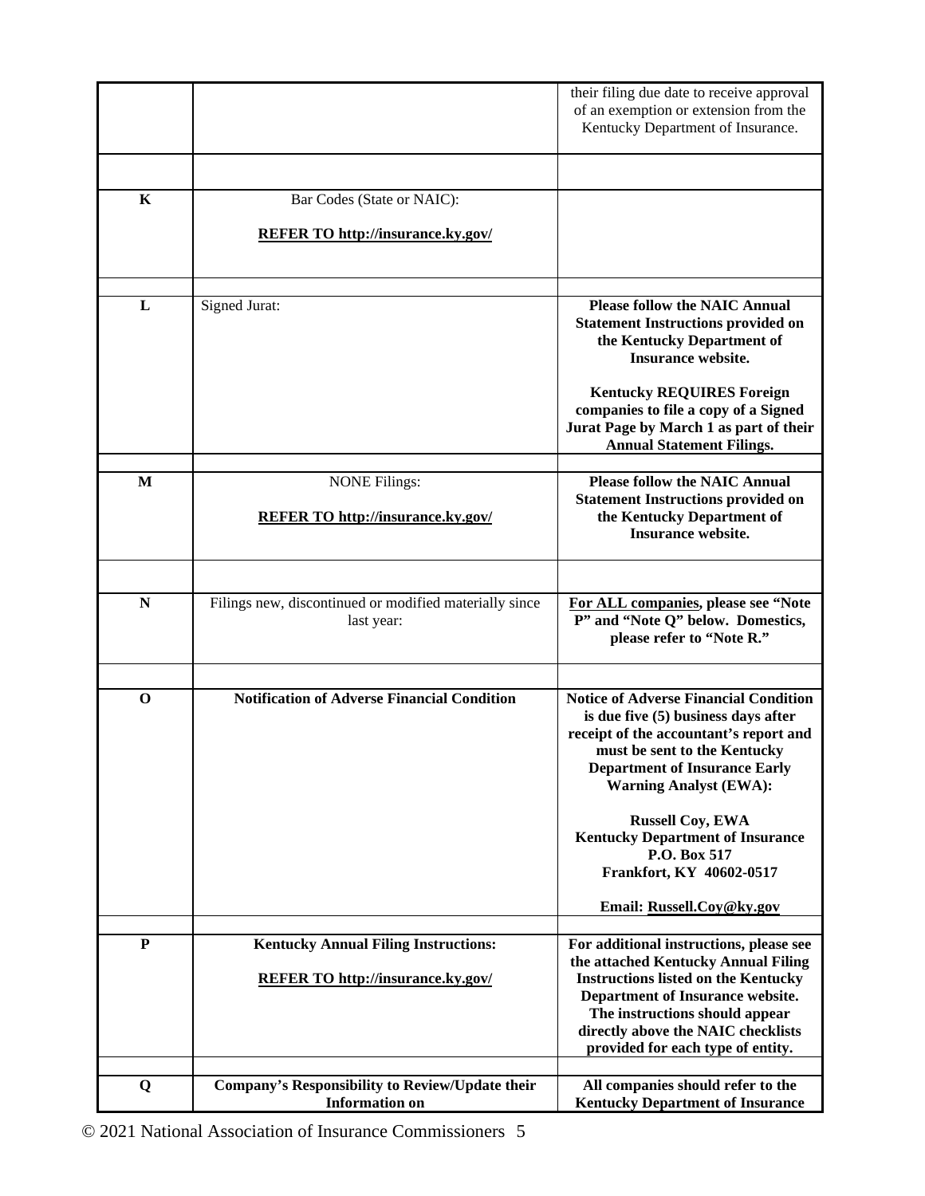|              |                                                                      | their filing due date to receive approval<br>of an exemption or extension from the<br>Kentucky Department of Insurance.                                                                                                                                                                                                                                                               |
|--------------|----------------------------------------------------------------------|---------------------------------------------------------------------------------------------------------------------------------------------------------------------------------------------------------------------------------------------------------------------------------------------------------------------------------------------------------------------------------------|
| K            | Bar Codes (State or NAIC):                                           |                                                                                                                                                                                                                                                                                                                                                                                       |
|              | <b>REFER TO http://insurance.ky.gov/</b>                             |                                                                                                                                                                                                                                                                                                                                                                                       |
| L            | Signed Jurat:                                                        | <b>Please follow the NAIC Annual</b><br><b>Statement Instructions provided on</b><br>the Kentucky Department of<br><b>Insurance website.</b><br><b>Kentucky REQUIRES Foreign</b><br>companies to file a copy of a Signed                                                                                                                                                              |
|              |                                                                      | Jurat Page by March 1 as part of their<br><b>Annual Statement Filings.</b>                                                                                                                                                                                                                                                                                                            |
| M            | <b>NONE Filings:</b>                                                 | <b>Please follow the NAIC Annual</b>                                                                                                                                                                                                                                                                                                                                                  |
|              | <b>REFER TO http://insurance.ky.gov/</b>                             | <b>Statement Instructions provided on</b><br>the Kentucky Department of<br><b>Insurance website.</b>                                                                                                                                                                                                                                                                                  |
|              |                                                                      |                                                                                                                                                                                                                                                                                                                                                                                       |
| N            | Filings new, discontinued or modified materially since<br>last year: | For ALL companies, please see "Note<br>P" and "Note Q" below. Domestics,<br>please refer to "Note R."                                                                                                                                                                                                                                                                                 |
| $\mathbf{o}$ | <b>Notification of Adverse Financial Condition</b>                   | <b>Notice of Adverse Financial Condition</b><br>is due five (5) business days after<br>receipt of the accountant's report and<br>must be sent to the Kentucky<br><b>Department of Insurance Early</b><br><b>Warning Analyst (EWA):</b><br><b>Russell Coy, EWA</b><br><b>Kentucky Department of Insurance</b><br>P.O. Box 517<br>Frankfort, KY 40602-0517<br>Email: Russell.Coy@ky.gov |
| P            | <b>Kentucky Annual Filing Instructions:</b>                          | For additional instructions, please see                                                                                                                                                                                                                                                                                                                                               |
|              | <b>REFER TO http://insurance.ky.gov/</b>                             | the attached Kentucky Annual Filing<br><b>Instructions listed on the Kentucky</b><br>Department of Insurance website.<br>The instructions should appear<br>directly above the NAIC checklists<br>provided for each type of entity.                                                                                                                                                    |
| Q            | <b>Company's Responsibility to Review/Update their</b>               | All companies should refer to the                                                                                                                                                                                                                                                                                                                                                     |
|              | <b>Information on</b>                                                | <b>Kentucky Department of Insurance</b>                                                                                                                                                                                                                                                                                                                                               |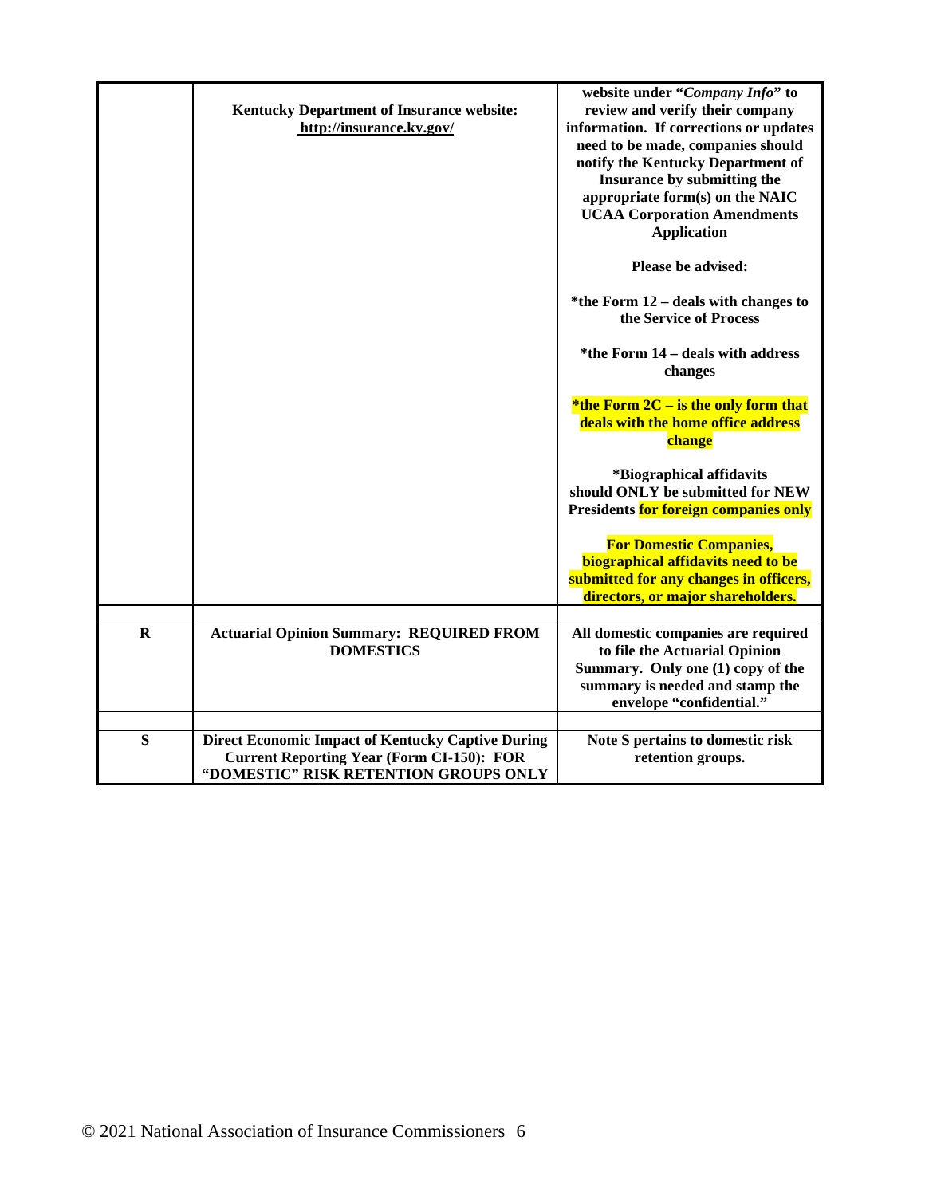|             | <b>Kentucky Department of Insurance website:</b><br>http://insurance.ky.gov/                                                                          | website under "Company Info" to<br>review and verify their company<br>information. If corrections or updates<br>need to be made, companies should<br>notify the Kentucky Department of<br>Insurance by submitting the<br>appropriate form(s) on the NAIC<br><b>UCAA Corporation Amendments</b><br><b>Application</b><br>Please be advised:<br>*the Form 12 – deals with changes to<br>the Service of Process<br>*the Form 14 – deals with address<br>changes<br>*the Form $2C -$ is the only form that<br>deals with the home office address<br>change<br>*Biographical affidavits<br>should ONLY be submitted for NEW<br>Presidents for foreign companies only<br><b>For Domestic Companies,</b><br>biographical affidavits need to be<br>submitted for any changes in officers,<br>directors, or major shareholders. |
|-------------|-------------------------------------------------------------------------------------------------------------------------------------------------------|------------------------------------------------------------------------------------------------------------------------------------------------------------------------------------------------------------------------------------------------------------------------------------------------------------------------------------------------------------------------------------------------------------------------------------------------------------------------------------------------------------------------------------------------------------------------------------------------------------------------------------------------------------------------------------------------------------------------------------------------------------------------------------------------------------------------|
| $\mathbf R$ | <b>Actuarial Opinion Summary: REQUIRED FROM</b><br><b>DOMESTICS</b>                                                                                   | All domestic companies are required<br>to file the Actuarial Opinion<br>Summary. Only one (1) copy of the<br>summary is needed and stamp the<br>envelope "confidential."                                                                                                                                                                                                                                                                                                                                                                                                                                                                                                                                                                                                                                               |
| S           | <b>Direct Economic Impact of Kentucky Captive During</b><br><b>Current Reporting Year (Form CI-150): FOR</b><br>"DOMESTIC" RISK RETENTION GROUPS ONLY | Note S pertains to domestic risk<br>retention groups.                                                                                                                                                                                                                                                                                                                                                                                                                                                                                                                                                                                                                                                                                                                                                                  |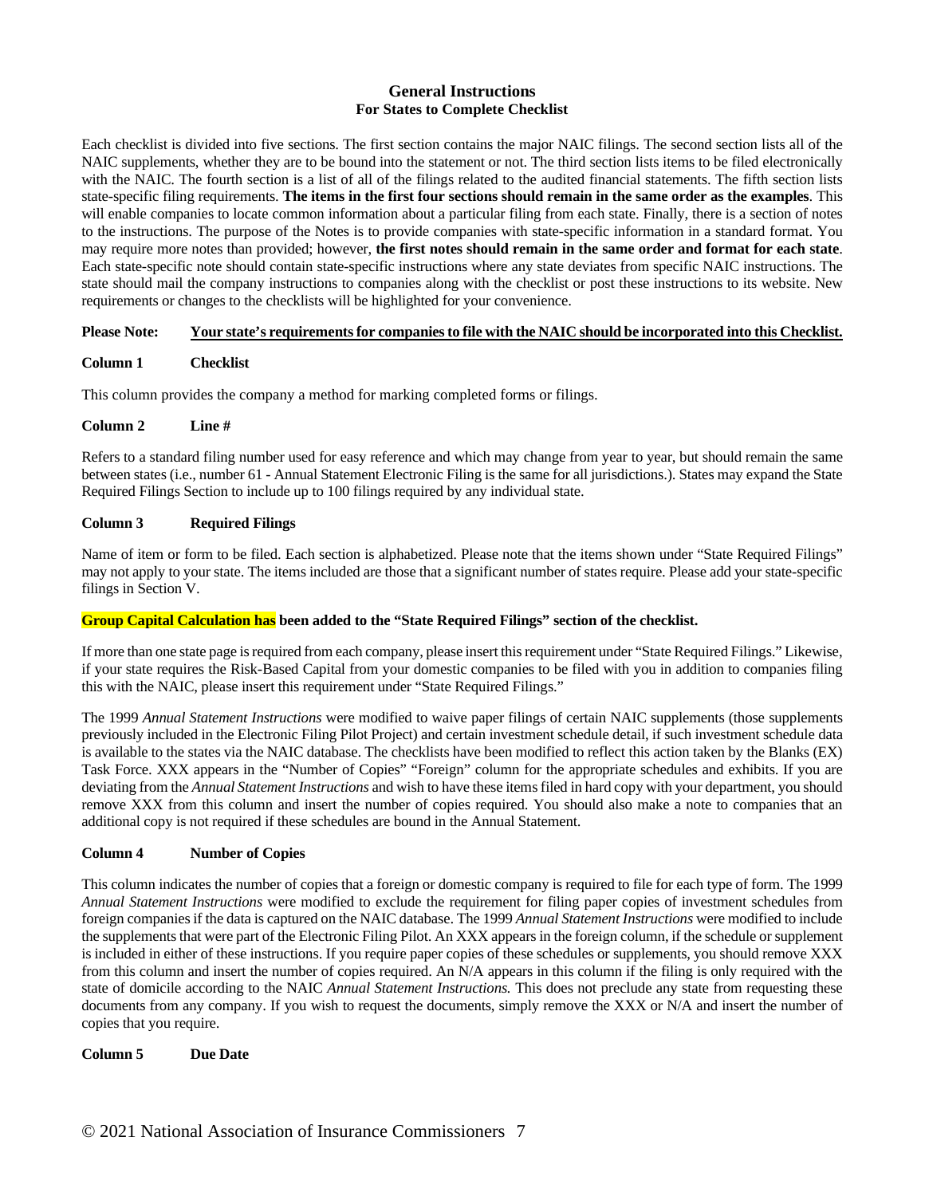# **General Instructions For States to Complete Checklist**

Each checklist is divided into five sections. The first section contains the major NAIC filings. The second section lists all of the NAIC supplements, whether they are to be bound into the statement or not. The third section lists items to be filed electronically with the NAIC. The fourth section is a list of all of the filings related to the audited financial statements. The fifth section lists state-specific filing requirements. **The items in the first four sections should remain in the same order as the examples**. This will enable companies to locate common information about a particular filing from each state. Finally, there is a section of notes to the instructions. The purpose of the Notes is to provide companies with state-specific information in a standard format. You may require more notes than provided; however, **the first notes should remain in the same order and format for each state**. Each state-specific note should contain state-specific instructions where any state deviates from specific NAIC instructions. The state should mail the company instructions to companies along with the checklist or post these instructions to its website. New requirements or changes to the checklists will be highlighted for your convenience.

## **Please Note: Your state's requirements for companies to file with the NAIC should be incorporated into this Checklist.**

## **Column 1 Checklist**

This column provides the company a method for marking completed forms or filings.

### **Column 2 Line #**

Refers to a standard filing number used for easy reference and which may change from year to year, but should remain the same between states (i.e., number 61 - Annual Statement Electronic Filing is the same for all jurisdictions.). States may expand the State Required Filings Section to include up to 100 filings required by any individual state.

### **Column 3 Required Filings**

Name of item or form to be filed. Each section is alphabetized. Please note that the items shown under "State Required Filings" may not apply to your state. The items included are those that a significant number of states require. Please add your state-specific filings in Section V.

#### **Group Capital Calculation has been added to the "State Required Filings" section of the checklist.**

If more than one state page is required from each company, please insert this requirement under "State Required Filings." Likewise, if your state requires the Risk-Based Capital from your domestic companies to be filed with you in addition to companies filing this with the NAIC, please insert this requirement under "State Required Filings."

The 1999 *Annual Statement Instructions* were modified to waive paper filings of certain NAIC supplements (those supplements previously included in the Electronic Filing Pilot Project) and certain investment schedule detail, if such investment schedule data is available to the states via the NAIC database. The checklists have been modified to reflect this action taken by the Blanks (EX) Task Force. XXX appears in the "Number of Copies" "Foreign" column for the appropriate schedules and exhibits. If you are deviating from the *Annual Statement Instructions* and wish to have these items filed in hard copy with your department, you should remove XXX from this column and insert the number of copies required. You should also make a note to companies that an additional copy is not required if these schedules are bound in the Annual Statement.

#### **Column 4 Number of Copies**

This column indicates the number of copies that a foreign or domestic company is required to file for each type of form. The 1999 *Annual Statement Instructions* were modified to exclude the requirement for filing paper copies of investment schedules from foreign companies if the data is captured on the NAIC database. The 1999 *Annual Statement Instructions* were modified to include the supplements that were part of the Electronic Filing Pilot. An XXX appears in the foreign column, if the schedule or supplement is included in either of these instructions. If you require paper copies of these schedules or supplements, you should remove XXX from this column and insert the number of copies required. An N/A appears in this column if the filing is only required with the state of domicile according to the NAIC *Annual Statement Instructions.* This does not preclude any state from requesting these documents from any company. If you wish to request the documents, simply remove the XXX or N/A and insert the number of copies that you require.

#### **Column 5 Due Date**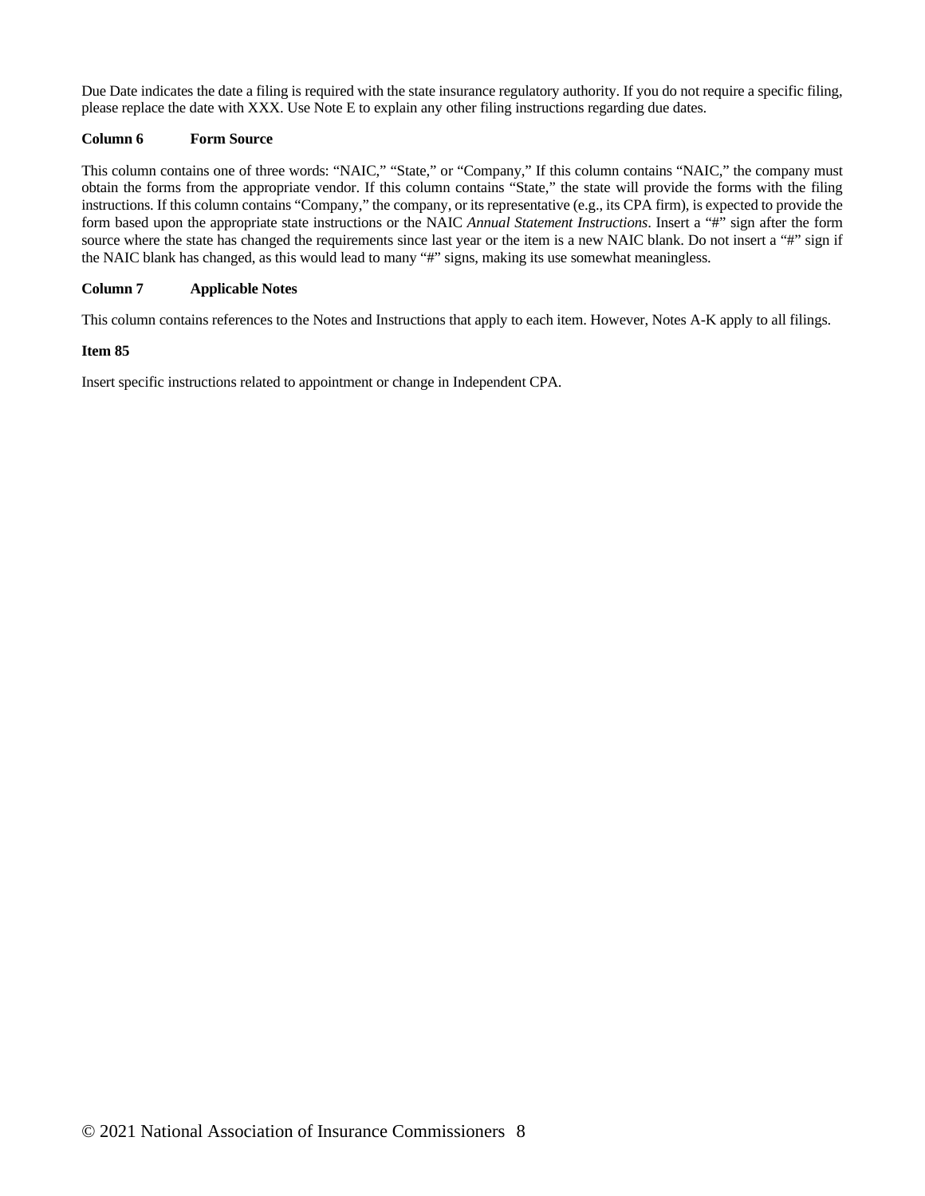Due Date indicates the date a filing is required with the state insurance regulatory authority. If you do not require a specific filing, please replace the date with XXX. Use Note E to explain any other filing instructions regarding due dates.

## **Column 6 Form Source**

This column contains one of three words: "NAIC," "State," or "Company," If this column contains "NAIC," the company must obtain the forms from the appropriate vendor. If this column contains "State," the state will provide the forms with the filing instructions. If this column contains "Company," the company, or its representative (e.g., its CPA firm), is expected to provide the form based upon the appropriate state instructions or the NAIC *Annual Statement Instructions*. Insert a "#" sign after the form source where the state has changed the requirements since last year or the item is a new NAIC blank. Do not insert a "#" sign if the NAIC blank has changed, as this would lead to many "#" signs, making its use somewhat meaningless.

# **Column 7 Applicable Notes**

This column contains references to the Notes and Instructions that apply to each item. However, Notes A-K apply to all filings.

## **Item 85**

Insert specific instructions related to appointment or change in Independent CPA.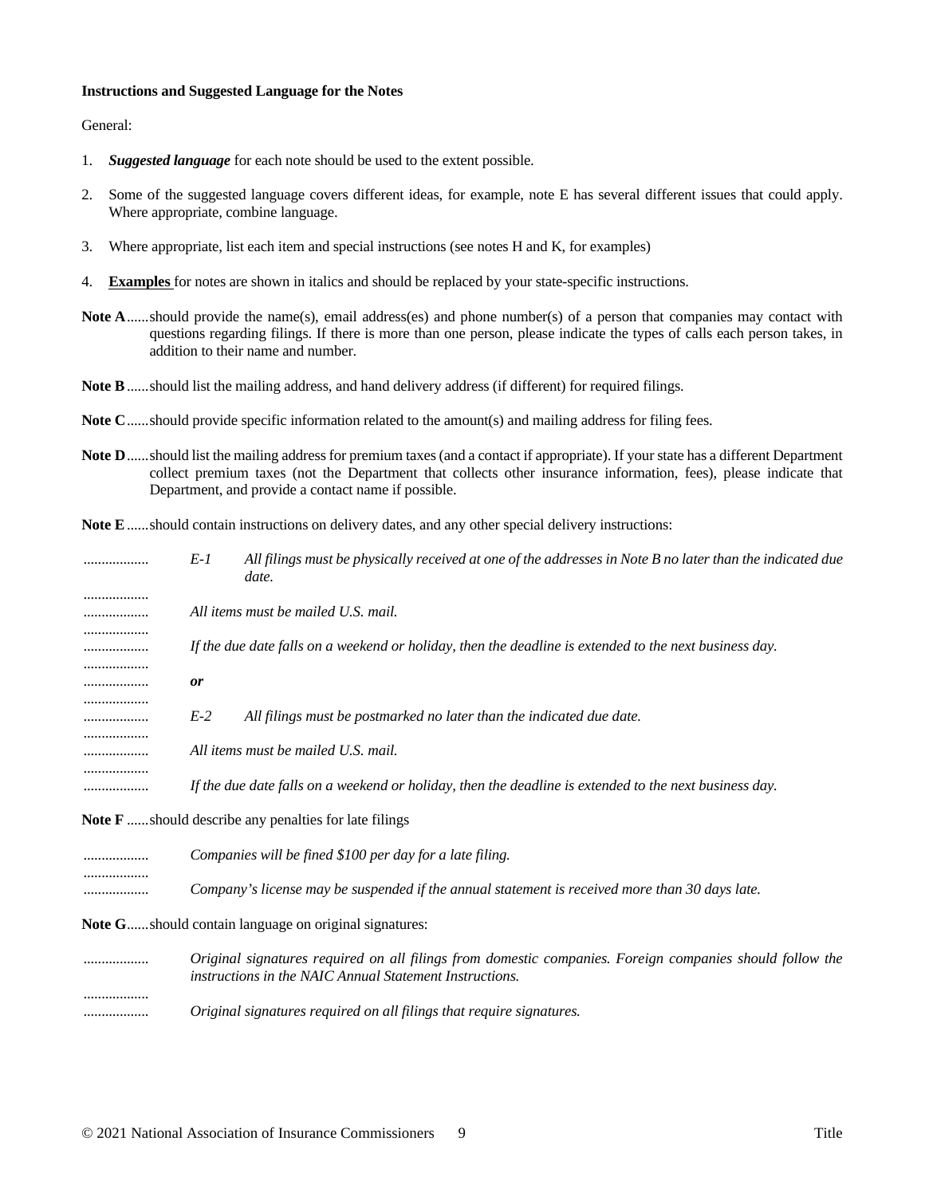#### **Instructions and Suggested Language for the Notes**

General:

- 1. *Suggested language* for each note should be used to the extent possible.
- 2. Some of the suggested language covers different ideas, for example, note E has several different issues that could apply. Where appropriate, combine language.
- 3. Where appropriate, list each item and special instructions (see notes H and K, for examples)
- 4. **Examples** for notes are shown in italics and should be replaced by your state-specific instructions.
- Note A......should provide the name(s), email address(es) and phone number(s) of a person that companies may contact with questions regarding filings. If there is more than one person, please indicate the types of calls each person takes, in addition to their name and number.
- **Note B**......should list the mailing address, and hand delivery address (if different) for required filings.
- **Note C**......should provide specific information related to the amount(s) and mailing address for filing fees.
- **Note D**......should list the mailing address for premium taxes (and a contact if appropriate). If your state has a different Department collect premium taxes (not the Department that collects other insurance information, fees), please indicate that Department, and provide a contact name if possible.
- **Note E**......should contain instructions on delivery dates, and any other special delivery instructions:

| .     | $E-1$     | All filings must be physically received at one of the addresses in Note B no later than the indicated due<br>date. |
|-------|-----------|--------------------------------------------------------------------------------------------------------------------|
|       |           | All items must be mailed U.S. mail.                                                                                |
|       |           | If the due date falls on a weekend or holiday, then the deadline is extended to the next business day.             |
| .<br> | <i>or</i> |                                                                                                                    |
|       | $E-2$     | All filings must be postmarked no later than the indicated due date.                                               |
|       |           | All items must be mailed U.S. mail.                                                                                |
|       |           | If the due date falls on a weekend or holiday, then the deadline is extended to the next business day.             |
|       |           |                                                                                                                    |

**Note F** ......should describe any penalties for late filings

| <br>Companies will be fined \$100 per day for a late filing.                                           |
|--------------------------------------------------------------------------------------------------------|
| <br><br>Company's license may be suspended if the annual statement is received more than 30 days late. |

**Note G**......should contain language on original signatures:

.................. *Original signatures required on all filings from domestic companies. Foreign companies should follow the instructions in the NAIC Annual Statement Instructions.* .................. .................. *Original signatures required on all filings that require signatures.*